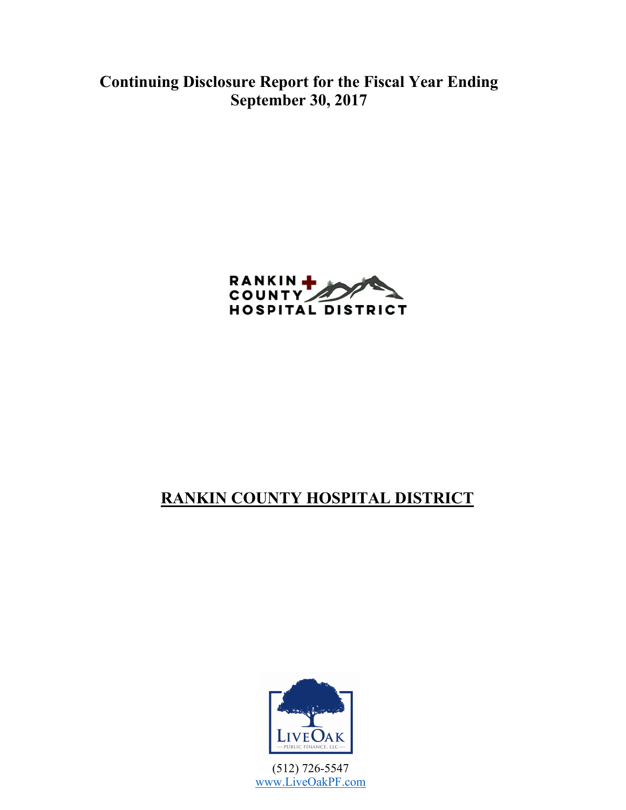**Continuing Disclosure Report for the Fiscal Year Ending September 30, 2017**



# **RANKIN COUNTY HOSPITAL DISTRICT**



(512) 726-5547 www.LiveOakPF.com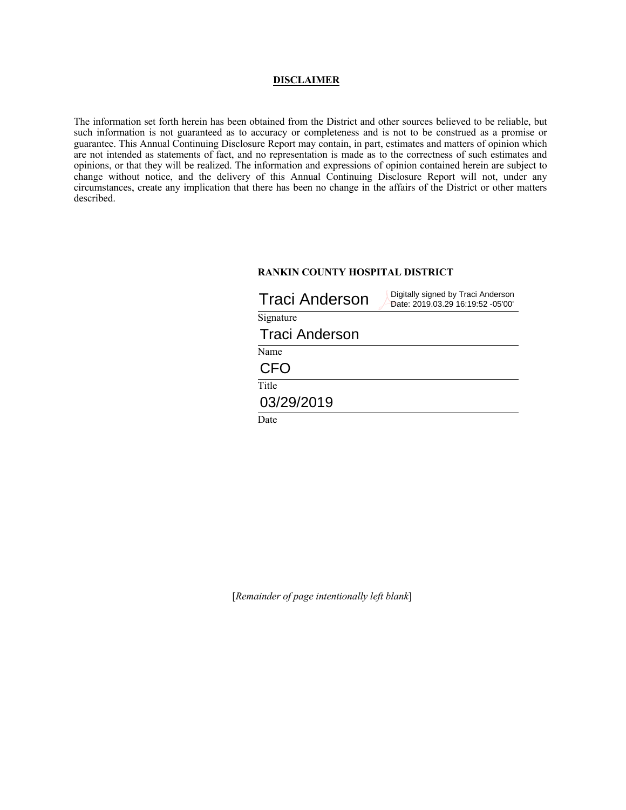#### **DISCLAIMER**

The information set forth herein has been obtained from the District and other sources believed to be reliable, but such information is not guaranteed as to accuracy or completeness and is not to be construed as a promise or guarantee. This Annual Continuing Disclosure Report may contain, in part, estimates and matters of opinion which are not intended as statements of fact, and no representation is made as to the correctness of such estimates and opinions, or that they will be realized. The information and expressions of opinion contained herein are subject to change without notice, and the delivery of this Annual Continuing Disclosure Report will not, under any circumstances, create any implication that there has been no change in the affairs of the District or other matters described.

#### **RANKIN COUNTY HOSPITAL DISTRICT**

| <b>Traci Anderson</b> | Digitally signed by Traci Anderson<br>Date: 2019.03.29 16:19:52 -05'00' |
|-----------------------|-------------------------------------------------------------------------|
| Signature             |                                                                         |
| <b>Traci Anderson</b> |                                                                         |
| Name                  |                                                                         |
| CFO                   |                                                                         |
| Title                 |                                                                         |
| 03/29/2019            |                                                                         |
| Date                  |                                                                         |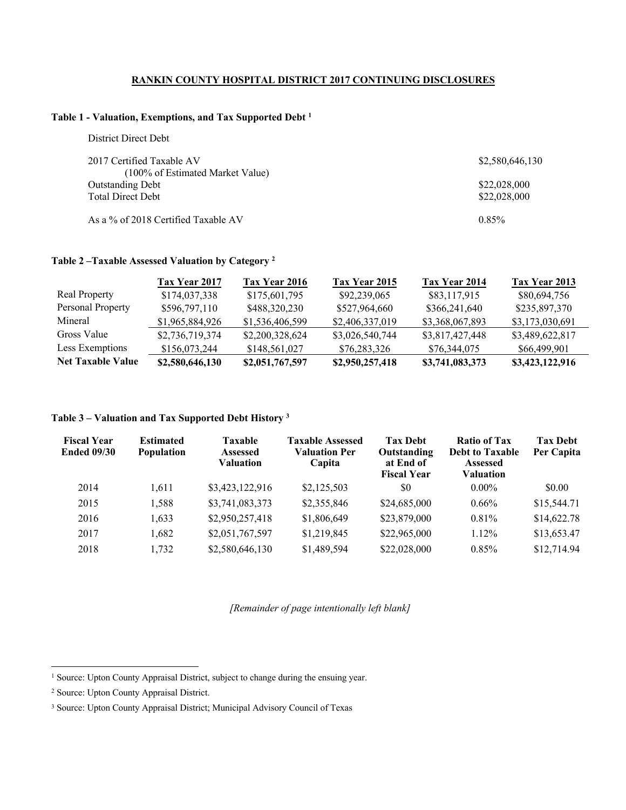#### **RANKIN COUNTY HOSPITAL DISTRICT 2017 CONTINUING DISCLOSURES**

#### **Table 1 - Valuation, Exemptions, and Tax Supported Debt <sup>1</sup>**

| District Direct Debt                |                 |
|-------------------------------------|-----------------|
| 2017 Certified Taxable AV           | \$2,580,646,130 |
| (100% of Estimated Market Value)    |                 |
| <b>Outstanding Debt</b>             | \$22,028,000    |
| <b>Total Direct Debt</b>            | \$22,028,000    |
| As a % of 2018 Certified Taxable AV | 0.85%           |

#### **Table 2 –Taxable Assessed Valuation by Category <sup>2</sup>**

|                          | Tax Year 2017   | Tax Year 2016   | Tax Year 2015   | Tax Year 2014   | Tax Year 2013   |
|--------------------------|-----------------|-----------------|-----------------|-----------------|-----------------|
| <b>Real Property</b>     | \$174,037,338   | \$175,601,795   | \$92,239,065    | \$83,117,915    | \$80,694,756    |
| Personal Property        | \$596,797,110   | \$488,320,230   | \$527,964,660   | \$366,241,640   | \$235,897,370   |
| Mineral                  | \$1,965,884,926 | \$1,536,406,599 | \$2,406,337,019 | \$3,368,067,893 | \$3,173,030,691 |
| Gross Value              | \$2,736,719,374 | \$2,200,328,624 | \$3,026,540,744 | \$3,817,427,448 | \$3,489,622,817 |
| Less Exemptions          | \$156,073,244   | \$148,561,027   | \$76,283,326    | \$76,344,075    | \$66,499,901    |
| <b>Net Taxable Value</b> | \$2,580,646,130 | \$2,051,767,597 | \$2,950,257,418 | \$3,741,083,373 | \$3,423,122,916 |

### **Table 3 – Valuation and Tax Supported Debt History <sup>3</sup>**

| <b>Fiscal Year</b><br><b>Ended 09/30</b> | <b>Estimated</b><br><b>Population</b> | <b>Taxable</b><br><b>Assessed</b><br><b>Valuation</b> | <b>Taxable Assessed</b><br><b>Valuation Per</b><br>Capita | <b>Tax Debt</b><br>Outstanding<br>at End of<br><b>Fiscal Year</b> | <b>Ratio of Tax</b><br><b>Debt to Taxable</b><br><b>Assessed</b><br>Valuation | <b>Tax Debt</b><br>Per Capita |
|------------------------------------------|---------------------------------------|-------------------------------------------------------|-----------------------------------------------------------|-------------------------------------------------------------------|-------------------------------------------------------------------------------|-------------------------------|
| 2014                                     | 1.611                                 | \$3,423,122,916                                       | \$2,125,503                                               | \$0                                                               | $0.00\%$                                                                      | \$0.00                        |
| 2015                                     | 1,588                                 | \$3,741,083,373                                       | \$2,355,846                                               | \$24,685,000                                                      | $0.66\%$                                                                      | \$15,544.71                   |
| 2016                                     | 1,633                                 | \$2,950,257,418                                       | \$1,806,649                                               | \$23,879,000                                                      | $0.81\%$                                                                      | \$14,622.78                   |
| 2017                                     | 1,682                                 | \$2,051,767,597                                       | \$1,219,845                                               | \$22,965,000                                                      | $1.12\%$                                                                      | \$13,653.47                   |
| 2018                                     | 1,732                                 | \$2,580,646,130                                       | \$1,489,594                                               | \$22,028,000                                                      | $0.85\%$                                                                      | \$12,714.94                   |

<sup>&</sup>lt;sup>1</sup> Source: Upton County Appraisal District, subject to change during the ensuing year.

<sup>2</sup> Source: Upton County Appraisal District.

<sup>3</sup> Source: Upton County Appraisal District; Municipal Advisory Council of Texas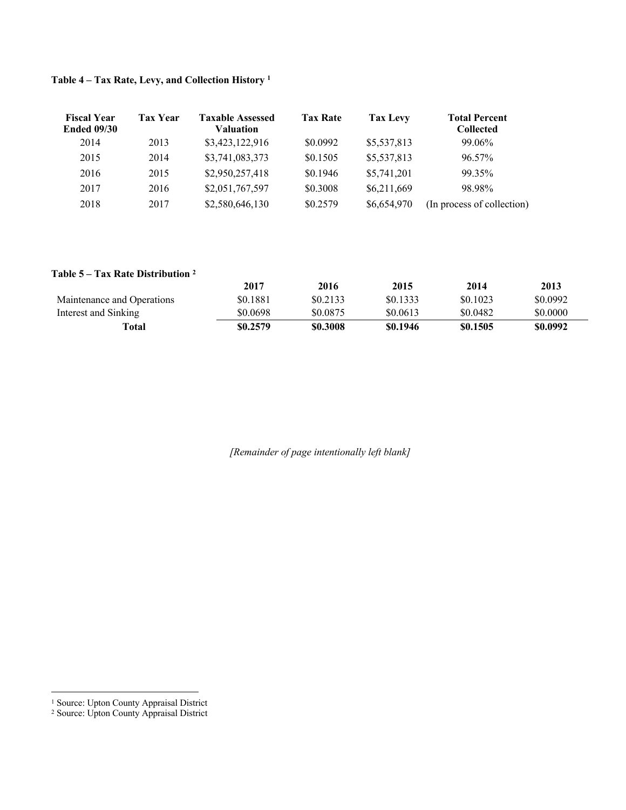| <b>Fiscal Year</b><br><b>Ended 09/30</b> | <b>Tax Year</b> | <b>Taxable Assessed</b><br><b>Valuation</b> | <b>Tax Rate</b> | Tax Levy    | <b>Total Percent</b><br><b>Collected</b> |
|------------------------------------------|-----------------|---------------------------------------------|-----------------|-------------|------------------------------------------|
| 2014                                     | 2013            | \$3,423,122,916                             | \$0.0992        | \$5,537,813 | 99.06%                                   |
| 2015                                     | 2014            | \$3,741,083,373                             | \$0.1505        | \$5,537,813 | 96.57%                                   |
| 2016                                     | 2015            | \$2,950,257,418                             | \$0.1946        | \$5,741,201 | 99.35%                                   |
| 2017                                     | 2016            | \$2,051,767,597                             | \$0.3008        | \$6,211,669 | 98.98%                                   |
| 2018                                     | 2017            | \$2,580,646,130                             | \$0.2579        | \$6,654,970 | (In process of collection)               |

### **Table 4 – Tax Rate, Levy, and Collection History <sup>1</sup>**

#### **Table 5 – Tax Rate Distribution 2**

|                            | 2017     | 2016     | 2015     | 2014     | 2013     |
|----------------------------|----------|----------|----------|----------|----------|
| Maintenance and Operations | \$0.1881 | \$0.2133 | \$0.1333 | \$0.1023 | \$0.0992 |
| Interest and Sinking       | \$0.0698 | \$0.0875 | \$0.0613 | \$0.0482 | \$0.0000 |
| Total                      | \$0.2579 | \$0.3008 | \$0.1946 | \$0.1505 | \$0.0992 |

 <sup>1</sup> Source: Upton County Appraisal District

<sup>2</sup> Source: Upton County Appraisal District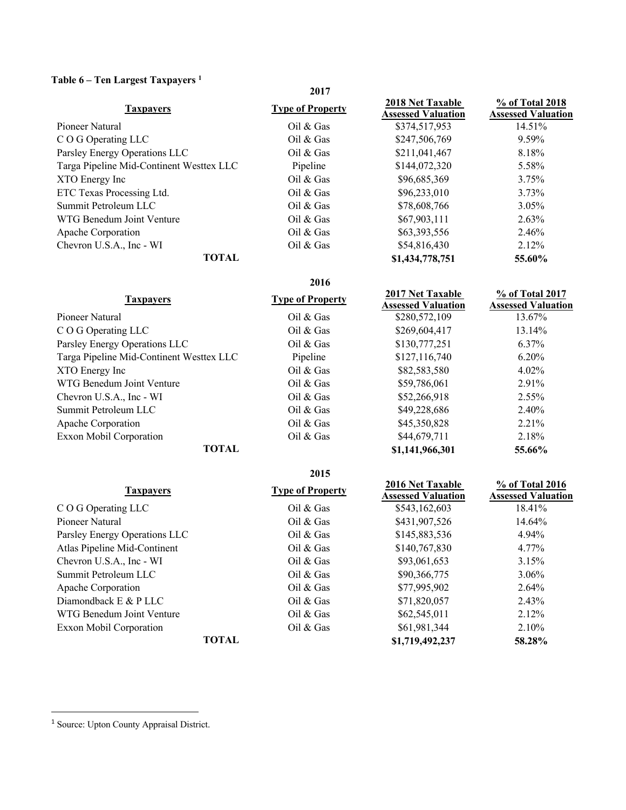### **Table 6 – Ten Largest Taxpayers <sup>1</sup>**

| o<br>$\cdots$                            | 2017                    |                                                      |                                              |
|------------------------------------------|-------------------------|------------------------------------------------------|----------------------------------------------|
| <b>Taxpayers</b>                         | <b>Type of Property</b> | <b>2018 Net Taxable</b><br><b>Assessed Valuation</b> | % of Total 2018<br><b>Assessed Valuation</b> |
| Pioneer Natural                          | Oil $&$ Gas             | \$374,517,953                                        | 14.51%                                       |
| C O G Operating LLC                      | Oil $&$ Gas             | \$247,506,769                                        | 9.59%                                        |
| Parsley Energy Operations LLC            | Oil $&$ Gas             | \$211,041,467                                        | 8.18%                                        |
| Targa Pipeline Mid-Continent Westtex LLC | Pipeline                | \$144,072,320                                        | 5.58%                                        |
| XTO Energy Inc                           | Oil $&$ Gas             | \$96,685,369                                         | $3.75\%$                                     |
| ETC Texas Processing Ltd.                | Oil $&$ Gas             | \$96,233,010                                         | $3.73\%$                                     |
| Summit Petroleum LLC                     | Oil $&$ Gas             | \$78,608,766                                         | $3.05\%$                                     |
| WTG Benedum Joint Venture                | Oil $&$ Gas             | \$67,903,111                                         | $2.63\%$                                     |
| Apache Corporation                       | Oil $&$ Gas             | \$63,393,556                                         | 2.46%                                        |
| Chevron U.S.A., Inc - WI                 | Oil $&$ Gas             | \$54,816,430                                         | $2.12\%$                                     |
| <b>TOTAL</b>                             |                         | \$1,434,778,751                                      | 55.60%                                       |

|                                          | 2016                    |                                                      |                                              |
|------------------------------------------|-------------------------|------------------------------------------------------|----------------------------------------------|
| <b>Taxpayers</b>                         | <b>Type of Property</b> | <b>2017 Net Taxable</b><br><b>Assessed Valuation</b> | % of Total 2017<br><b>Assessed Valuation</b> |
| Pioneer Natural                          | Oil $&$ Gas             | \$280,572,109                                        | 13.67%                                       |
| C O G Operating LLC                      | Oil $&$ Gas             | \$269,604,417                                        | 13.14%                                       |
| Parsley Energy Operations LLC            | Oil $&$ Gas             | \$130,777,251                                        | $6.37\%$                                     |
| Targa Pipeline Mid-Continent Westtex LLC | Pipeline                | \$127,116,740                                        | $6.20\%$                                     |
| XTO Energy Inc                           | Oil $&$ Gas             | \$82,583,580                                         | $4.02\%$                                     |
| WTG Benedum Joint Venture                | Oil $&$ Gas             | \$59,786,061                                         | 2.91%                                        |
| Chevron U.S.A., Inc - WI                 | Oil $&$ Gas             | \$52,266,918                                         | $2.55\%$                                     |
| Summit Petroleum LLC                     | Oil $&$ Gas             | \$49,228,686                                         | 2.40%                                        |
| Apache Corporation                       | Oil $&$ Gas             | \$45,350,828                                         | $2.21\%$                                     |
| Exxon Mobil Corporation                  | Oil $&$ Gas             | \$44,679,711                                         | 2.18%                                        |
| <b>TOTAL</b>                             |                         | \$1,141,966,301                                      | 55.66%                                       |

|                               | 2015                    |                                                      |                                              |
|-------------------------------|-------------------------|------------------------------------------------------|----------------------------------------------|
| <b>Taxpayers</b>              | <b>Type of Property</b> | <b>2016 Net Taxable</b><br><b>Assessed Valuation</b> | % of Total 2016<br><b>Assessed Valuation</b> |
| C O G Operating LLC           | Oil $&$ Gas             | \$543,162,603                                        | 18.41%                                       |
| Pioneer Natural               | Oil $&$ Gas             | \$431,907,526                                        | 14.64%                                       |
| Parsley Energy Operations LLC | Oil $&$ Gas             | \$145,883,536                                        | 4.94%                                        |
| Atlas Pipeline Mid-Continent  | Oil $&$ Gas             | \$140,767,830                                        | 4.77%                                        |
| Chevron U.S.A., Inc - WI      | Oil $&$ Gas             | \$93,061,653                                         | 3.15%                                        |
| Summit Petroleum LLC          | Oil $&$ Gas             | \$90,366,775                                         | $3.06\%$                                     |
| Apache Corporation            | Oil $&$ Gas             | \$77,995,902                                         | 2.64%                                        |
| Diamondback $E \& P L L C$    | Oil $&$ Gas             | \$71,820,057                                         | 2.43%                                        |
| WTG Benedum Joint Venture     | Oil $&$ Gas             | \$62,545,011                                         | 2.12%                                        |
| Exxon Mobil Corporation       | Oil $&$ Gas             | \$61,981,344                                         | $2.10\%$                                     |
| <b>TOTAL</b>                  |                         | \$1,719,492,237                                      | 58.28%                                       |

<sup>&</sup>lt;sup>1</sup> Source: Upton County Appraisal District.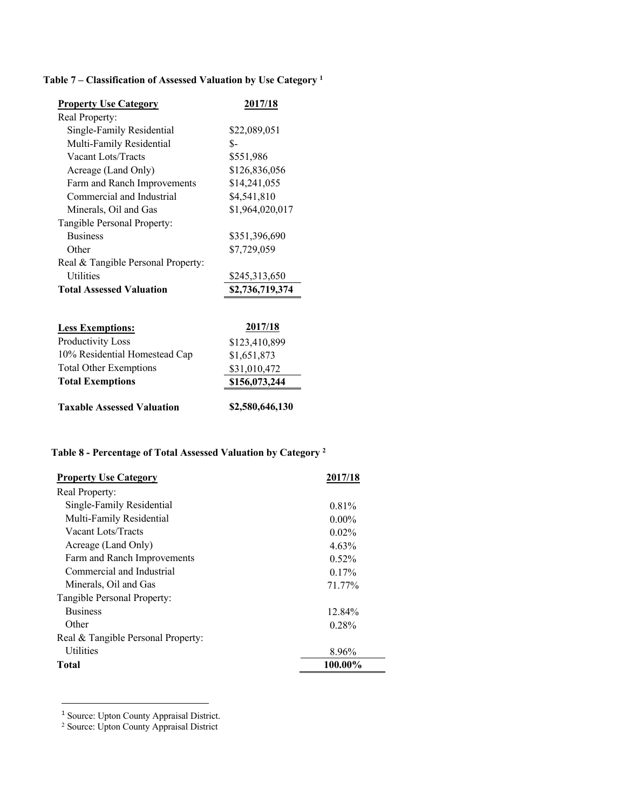### **Table 7 – Classification of Assessed Valuation by Use Category 1**

| <b>Property Use Category</b>       | 2017/18         |
|------------------------------------|-----------------|
| Real Property:                     |                 |
| Single-Family Residential          | \$22,089,051    |
| Multi-Family Residential           | \$-             |
| Vacant Lots/Tracts                 | \$551,986       |
| Acreage (Land Only)                | \$126,836,056   |
| Farm and Ranch Improvements        | \$14,241,055    |
| Commercial and Industrial          | \$4,541,810     |
| Minerals, Oil and Gas              | \$1,964,020,017 |
| Tangible Personal Property:        |                 |
| <b>Business</b>                    | \$351,396,690   |
| Other                              | \$7,729,059     |
| Real & Tangible Personal Property: |                 |
| <b>Utilities</b>                   | \$245,313,650   |
| <b>Total Assessed Valuation</b>    | \$2,736,719,374 |
|                                    |                 |
| <b>Less Exemptions:</b>            | 2017/18         |
| Productivity Loss                  | \$123,410,899   |
| 10% Residential Homestead Cap      | \$1,651,873     |
| <b>Total Other Exemptions</b>      | \$31,010,472    |
| <b>Total Exemptions</b>            | \$156,073,244   |
| <b>Taxable Assessed Valuation</b>  | \$2,580,646,130 |

## **Table 8 - Percentage of Total Assessed Valuation by Category 2**

| <b>Property Use Category</b>       | 2017/18  |
|------------------------------------|----------|
| Real Property:                     |          |
| Single-Family Residential          | 0.81%    |
| Multi-Family Residential           | $0.00\%$ |
| Vacant Lots/Tracts                 | $0.02\%$ |
| Acreage (Land Only)                | 4.63%    |
| Farm and Ranch Improvements        | $0.52\%$ |
| Commercial and Industrial          | $0.17\%$ |
| Minerals, Oil and Gas              | 71.77%   |
| Tangible Personal Property:        |          |
| <b>Business</b>                    | 12.84%   |
| Other                              | $0.28\%$ |
| Real & Tangible Personal Property: |          |
| <b>Utilities</b>                   | 8.96%    |
| Total                              | 100.00%  |

<sup>1</sup> Source: Upton County Appraisal District.

<u>.</u>

<sup>2</sup> Source: Upton County Appraisal District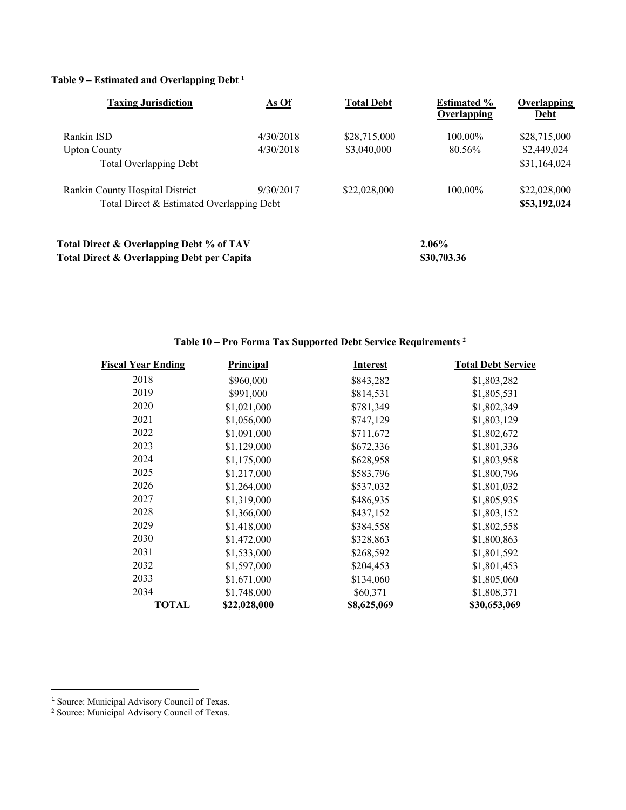#### **Table 9 – Estimated and Overlapping Debt 1**

| <b>Taxing Jurisdiction</b>                 | As Of     | <b>Total Debt</b> | <b>Estimated %</b><br>Overlapping | <b>Overlapping</b><br>Debt |
|--------------------------------------------|-----------|-------------------|-----------------------------------|----------------------------|
| Rankin ISD                                 | 4/30/2018 | \$28,715,000      | $100.00\%$                        | \$28,715,000               |
| <b>Upton County</b>                        | 4/30/2018 | \$3,040,000       | 80.56%                            | \$2,449,024                |
| <b>Total Overlapping Debt</b>              |           |                   |                                   | \$31,164,024               |
| Rankin County Hospital District            | 9/30/2017 | \$22,028,000      | $100.00\%$                        | \$22,028,000               |
| Total Direct & Estimated Overlapping Debt  |           |                   |                                   | \$53,192,024               |
| Total Direct & Overlapping Debt % of TAV   |           |                   | $2.06\%$                          |                            |
| Total Direct & Overlapping Debt per Capita |           |                   | \$30,703.36                       |                            |

### **Table 10 – Pro Forma Tax Supported Debt Service Requirements <sup>2</sup>**

| <b>Fiscal Year Ending</b> | Principal    | <b>Interest</b> | <b>Total Debt Service</b> |
|---------------------------|--------------|-----------------|---------------------------|
| 2018                      | \$960,000    | \$843,282       | \$1,803,282               |
| 2019                      | \$991,000    | \$814,531       | \$1,805,531               |
| 2020                      | \$1,021,000  | \$781,349       | \$1,802,349               |
| 2021                      | \$1,056,000  | \$747,129       | \$1,803,129               |
| 2022                      | \$1,091,000  | \$711,672       | \$1,802,672               |
| 2023                      | \$1,129,000  | \$672,336       | \$1,801,336               |
| 2024                      | \$1,175,000  | \$628,958       | \$1,803,958               |
| 2025                      | \$1,217,000  | \$583,796       | \$1,800,796               |
| 2026                      | \$1,264,000  | \$537,032       | \$1,801,032               |
| 2027                      | \$1,319,000  | \$486,935       | \$1,805,935               |
| 2028                      | \$1,366,000  | \$437,152       | \$1,803,152               |
| 2029                      | \$1,418,000  | \$384,558       | \$1,802,558               |
| 2030                      | \$1,472,000  | \$328,863       | \$1,800,863               |
| 2031                      | \$1,533,000  | \$268,592       | \$1,801,592               |
| 2032                      | \$1,597,000  | \$204,453       | \$1,801,453               |
| 2033                      | \$1,671,000  | \$134,060       | \$1,805,060               |
| 2034                      | \$1,748,000  | \$60,371        | \$1,808,371               |
| TOTAL                     | \$22,028,000 | \$8,625,069     | \$30,653,069              |

<sup>&</sup>lt;sup>1</sup> Source: Municipal Advisory Council of Texas.

<sup>2</sup> Source: Municipal Advisory Council of Texas.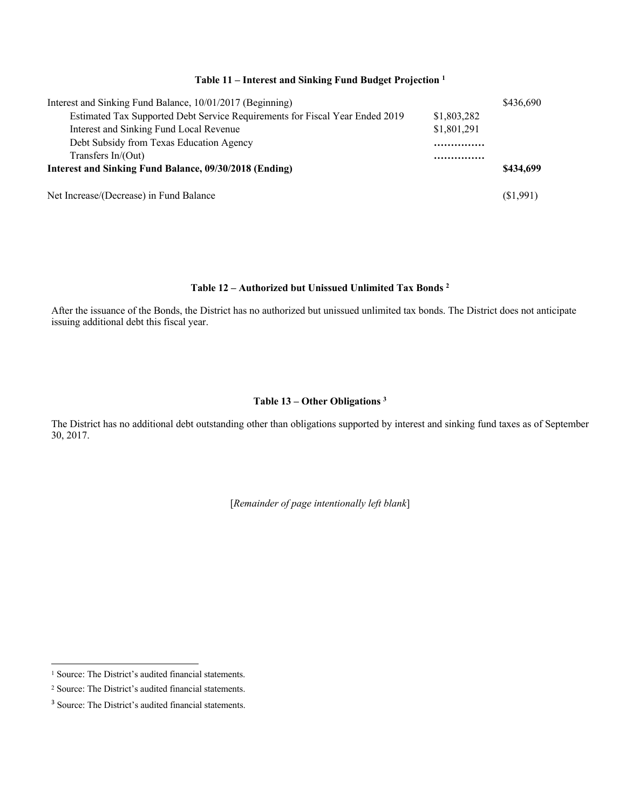#### **Table 11 – Interest and Sinking Fund Budget Projection 1**

| Interest and Sinking Fund Balance, 10/01/2017 (Beginning)                    |             | \$436,690 |
|------------------------------------------------------------------------------|-------------|-----------|
| Estimated Tax Supported Debt Service Requirements for Fiscal Year Ended 2019 | \$1,803,282 |           |
| Interest and Sinking Fund Local Revenue                                      | \$1,801,291 |           |
| Debt Subsidy from Texas Education Agency                                     |             |           |
| Transfers In/(Out)                                                           | .           |           |
| Interest and Sinking Fund Balance, 09/30/2018 (Ending)                       |             |           |
| Net Increase/(Decrease) in Fund Balance                                      |             | (S1,991)  |

#### **Table 12 – Authorized but Unissued Unlimited Tax Bonds 2**

After the issuance of the Bonds, the District has no authorized but unissued unlimited tax bonds. The District does not anticipate issuing additional debt this fiscal year.

### **Table 13 – Other Obligations 3**

The District has no additional debt outstanding other than obligations supported by interest and sinking fund taxes as of September 30, 2017.

<sup>&</sup>lt;sup>1</sup> Source: The District's audited financial statements.

<sup>2</sup> Source: The District's audited financial statements.

<sup>&</sup>lt;sup>3</sup> Source: The District's audited financial statements.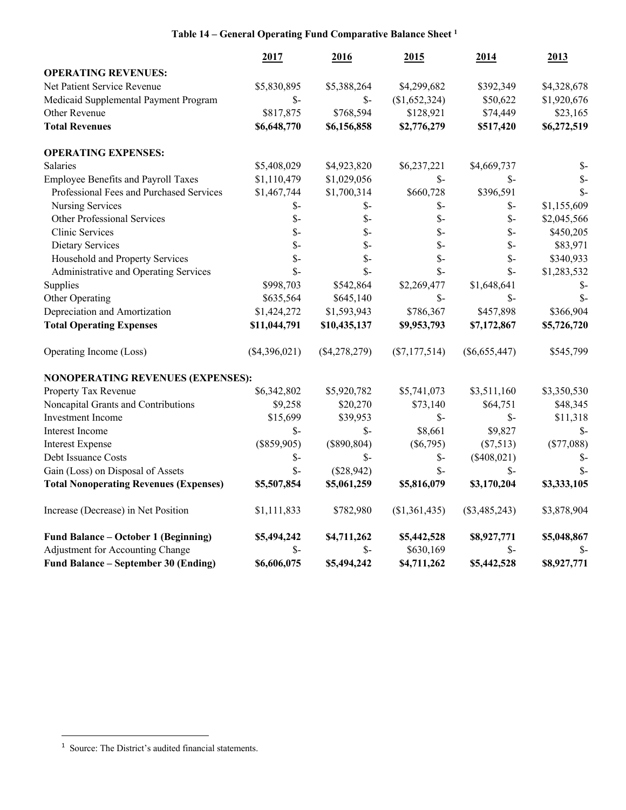### **Table 14 – General Operating Fund Comparative Balance Sheet 1**

|                                               | 2017            | 2016            | 2015            | 2014            | 2013            |
|-----------------------------------------------|-----------------|-----------------|-----------------|-----------------|-----------------|
| <b>OPERATING REVENUES:</b>                    |                 |                 |                 |                 |                 |
| Net Patient Service Revenue                   | \$5,830,895     | \$5,388,264     | \$4,299,682     | \$392,349       | \$4,328,678     |
| Medicaid Supplemental Payment Program         | $\mathcal{S}$ - | $S-$            | (\$1,652,324)   | \$50,622        | \$1,920,676     |
| Other Revenue                                 | \$817,875       | \$768,594       | \$128,921       | \$74,449        | \$23,165        |
| <b>Total Revenues</b>                         | \$6,648,770     | \$6,156,858     | \$2,776,279     | \$517,420       | \$6,272,519     |
| <b>OPERATING EXPENSES:</b>                    |                 |                 |                 |                 |                 |
| Salaries                                      | \$5,408,029     | \$4,923,820     | \$6,237,221     | \$4,669,737     | $S-$            |
| <b>Employee Benefits and Payroll Taxes</b>    | \$1,110,479     | \$1,029,056     | $S-$            | \$-             | $\mathcal{S}$ - |
| Professional Fees and Purchased Services      | \$1,467,744     | \$1,700,314     | \$660,728       | \$396,591       | $\mathsf{\$}$   |
| Nursing Services                              | $\mathcal{S}$ - | $S-$            | \$-             | $\mathcal{S}$ - | \$1,155,609     |
| Other Professional Services                   | $\mathcal{S}$ - | $\mathcal{S}$ - | $\mathcal{S}$ - | $\mathcal{S}$ - | \$2,045,566     |
| Clinic Services                               | $\mathcal{S}$ - | $\mathsf{S}$    | $\mathsf{\$}$ - | $\mathcal{S}$ - | \$450,205       |
| Dietary Services                              | $\mathcal{S}$ - | $\mathsf{\$}$   | $\mathsf{\$}$ - | $\mathcal{S}$ - | \$83,971        |
| Household and Property Services               | $\mathcal{S}$ - | $\mathsf{\$}$   | $\mathsf{\$}$ - | $\mathcal{S}$ - | \$340,933       |
| Administrative and Operating Services         | $S-$            | $\mathsf{\$}$   | $\mathsf{\$}$   | $\mathsf{\$}$ - | \$1,283,532     |
| Supplies                                      | \$998,703       | \$542,864       | \$2,269,477     | \$1,648,641     | \$-             |
| Other Operating                               | \$635,564       | \$645,140       | $S-$            | $\mathcal{S}$ - | $\mathsf{S}$    |
| Depreciation and Amortization                 | \$1,424,272     | \$1,593,943     | \$786,367       | \$457,898       | \$366,904       |
| <b>Total Operating Expenses</b>               | \$11,044,791    | \$10,435,137    | \$9,953,793     | \$7,172,867     | \$5,726,720     |
| Operating Income (Loss)                       | $(\$4,396,021)$ | (\$4,278,279)   | $(\$7,177,514)$ | $(\$6,655,447)$ | \$545,799       |
| NONOPERATING REVENUES (EXPENSES):             |                 |                 |                 |                 |                 |
| Property Tax Revenue                          | \$6,342,802     | \$5,920,782     | \$5,741,073     | \$3,511,160     | \$3,350,530     |
| Noncapital Grants and Contributions           | \$9,258         | \$20,270        | \$73,140        | \$64,751        | \$48,345        |
| Investment Income                             | \$15,699        | \$39,953        | $\mathcal{S}$ - | $S-$            | \$11,318        |
| Interest Income                               | $S-$            | $\mathcal{S}$ - | \$8,661         | \$9,827         | $\mathcal{S}$ - |
| <b>Interest Expense</b>                       | $(\$859,905)$   | (\$890, 804)    | $(\$6,795)$     | (\$7,513)       | (\$77,088)      |
| Debt Issuance Costs                           | $\mathcal{S}$ - | $\mathcal{S}$ - | $\mathcal{S}$ - | $(\$408,021)$   | \$-             |
| Gain (Loss) on Disposal of Assets             | $S-$            | (\$28,942)      | $\mathsf{\$}$   | $\mathcal{S}$ - | $S-$            |
| <b>Total Nonoperating Revenues (Expenses)</b> | \$5,507,854     | \$5,061,259     | \$5,816,079     | \$3,170,204     | \$3,333,105     |
| Increase (Decrease) in Net Position           | \$1,111,833     | \$782,980       | (\$1,361,435)   | $(\$3,485,243)$ | \$3,878,904     |
| Fund Balance - October 1 (Beginning)          | \$5,494,242     | \$4,711,262     | \$5,442,528     | \$8,927,771     | \$5,048,867     |
| Adjustment for Accounting Change              | $\mathcal{S}$ - | $\mathcal{S}$ - | \$630,169       | $\mathcal{S}$ - | \$-             |
| Fund Balance – September 30 (Ending)          | \$6,606,075     | \$5,494,242     | \$4,711,262     | \$5,442,528     | \$8,927,771     |

<sup>&</sup>lt;sup>1</sup> Source: The District's audited financial statements.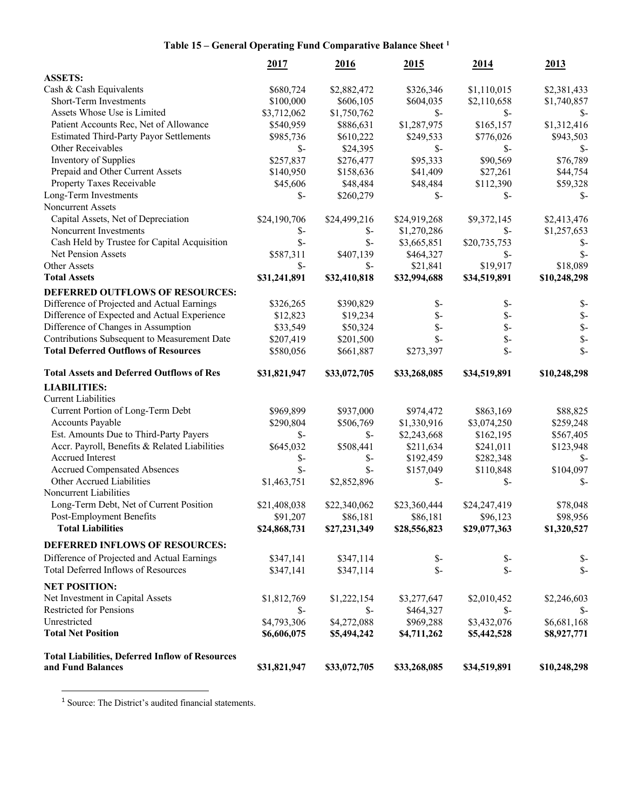### **Table 15 – General Operating Fund Comparative Balance Sheet <sup>1</sup>**

|                                                        | 2017            | 2016            | 2015            | 2014            | <u>2013</u>     |
|--------------------------------------------------------|-----------------|-----------------|-----------------|-----------------|-----------------|
| <b>ASSETS:</b>                                         |                 |                 |                 |                 |                 |
| Cash & Cash Equivalents                                | \$680,724       | \$2,882,472     | \$326,346       | \$1,110,015     | \$2,381,433     |
| Short-Term Investments                                 | \$100,000       | \$606,105       | \$604,035       | \$2,110,658     | \$1,740,857     |
| Assets Whose Use is Limited                            | \$3,712,062     | \$1,750,762     | $S-$            | $\mathsf{S}$ -  | Տ-              |
| Patient Accounts Rec, Net of Allowance                 | \$540,959       | \$886,631       | \$1,287,975     | \$165,157       | \$1,312,416     |
| <b>Estimated Third-Party Payor Settlements</b>         | \$985,736       | \$610,222       | \$249,533       | \$776,026       | \$943,503       |
| Other Receivables                                      | $\mathcal{S}$ - | \$24,395        | $\mathcal{S}$ - | $\mathsf{S}$ -  | $S-$            |
| Inventory of Supplies                                  | \$257,837       | \$276,477       | \$95,333        | \$90,569        | \$76,789        |
| Prepaid and Other Current Assets                       | \$140,950       | \$158,636       | \$41,409        | \$27,261        | \$44,754        |
| Property Taxes Receivable                              | \$45,606        | \$48,484        | \$48,484        | \$112,390       | \$59,328        |
| Long-Term Investments                                  | $\mathcal{S}$ - | \$260,279       | $\mathcal{S}$ - | $\mathsf{S}$ -  | $\mathcal{S}$ - |
| Noncurrent Assets                                      |                 |                 |                 |                 |                 |
| Capital Assets, Net of Depreciation                    | \$24,190,706    | \$24,499,216    | \$24,919,268    | \$9,372,145     | \$2,413,476     |
| Noncurrent Investments                                 | \$-             | \$-             | \$1,270,286     | \$-             | \$1,257,653     |
| Cash Held by Trustee for Capital Acquisition           | $\mathcal{S}$ - | $\mathcal{S}$ - | \$3,665,851     | \$20,735,753    | \$-             |
| Net Pension Assets                                     | \$587,311       | \$407,139       | \$464,327       | $\mathsf{S}$ -  | $\mathbb{S}$    |
| Other Assets                                           | $\mathsf{S}$ -  | \$-             | \$21,841        | \$19,917        | \$18,089        |
| <b>Total Assets</b>                                    | \$31,241,891    | \$32,410,818    | \$32,994,688    | \$34,519,891    | \$10,248,298    |
| DEFERRED OUTFLOWS OF RESOURCES:                        |                 |                 |                 |                 |                 |
| Difference of Projected and Actual Earnings            | \$326,265       | \$390,829       | \$-             | \$-             | \$              |
| Difference of Expected and Actual Experience           | \$12,823        | \$19,234        | $S-$            | $\mathcal{S}$ - | $\mathcal{S}$   |
| Difference of Changes in Assumption                    | \$33,549        | \$50,324        | $\mathcal{S}$ - | $S-$            | \$              |
| Contributions Subsequent to Measurement Date           | \$207,419       | \$201,500       | $S-$            | \$-             | \$              |
| <b>Total Deferred Outflows of Resources</b>            | \$580,056       | \$661,887       | \$273,397       | $\mathsf{S}$ -  | $\mathcal{S}$   |
| <b>Total Assets and Deferred Outflows of Res</b>       | \$31,821,947    | \$33,072,705    | \$33,268,085    | \$34,519,891    | \$10,248,298    |
| <b>LIABILITIES:</b>                                    |                 |                 |                 |                 |                 |
| <b>Current Liabilities</b>                             |                 |                 |                 |                 |                 |
| Current Portion of Long-Term Debt                      | \$969,899       | \$937,000       | \$974,472       | \$863,169       | \$88,825        |
| Accounts Payable                                       | \$290,804       | \$506,769       | \$1,330,916     | \$3,074,250     | \$259,248       |
| Est. Amounts Due to Third-Party Payers                 | \$-             | $S-$            | \$2,243,668     | \$162,195       | \$567,405       |
| Accr. Payroll, Benefits & Related Liabilities          | \$645,032       | \$508,441       | \$211,634       | \$241,011       | \$123,948       |
| Accrued Interest                                       | \$-             | \$-             | \$192,459       | \$282,348       | \$-             |
| <b>Accrued Compensated Absences</b>                    | $\mathcal{S}$ - | $\mathcal{S}$ - | \$157,049       | \$110,848       | \$104,097       |
| Other Accrued Liabilities                              | \$1,463,751     | \$2,852,896     | $\mathcal{S}$ - | $\mathsf{S}$ -  | \$-             |
| Noncurrent Liabilities                                 |                 |                 |                 |                 |                 |
| Long-Term Debt, Net of Current Position                | \$21,408,038    | \$22,340,062    | \$23,360,444    | \$24,247,419    | \$78,048        |
| Post-Employment Benefits                               | \$91,207        | \$86,181        | \$86,181        | \$96,123        | \$98,956        |
| <b>Total Liabilities</b>                               | \$24,868,731    | \$27,231,349    | \$28,556,823    | \$29,077,363    | \$1,320,527     |
| DEFERRED INFLOWS OF RESOURCES:                         |                 |                 |                 |                 |                 |
| Difference of Projected and Actual Earnings            | \$347,141       | \$347,114       | $S-$            | \$-             | $S-$            |
| Total Deferred Inflows of Resources                    | \$347,141       | \$347,114       | $\mathcal{S}$ - | $\mathbb{S}$ -  | $\mathcal{S}$ - |
| <b>NET POSITION:</b>                                   |                 |                 |                 |                 |                 |
| Net Investment in Capital Assets                       | \$1,812,769     | \$1,222,154     | \$3,277,647     | \$2,010,452     | \$2,246,603     |
| Restricted for Pensions                                | \$-             | $\mathcal{S}$ - | \$464,327       | $\mathsf{S}$ -  | - S             |
| Unrestricted                                           | \$4,793,306     | \$4,272,088     | \$969,288       | \$3,432,076     | \$6,681,168     |
| <b>Total Net Position</b>                              | \$6,606,075     | \$5,494,242     | \$4,711,262     | \$5,442,528     | \$8,927,771     |
| <b>Total Liabilities, Deferred Inflow of Resources</b> |                 |                 |                 |                 |                 |
| and Fund Balances                                      | \$31,821,947    | \$33,072,705    | \$33,268,085    | \$34,519,891    | \$10,248,298    |

<sup>1</sup> Source: The District's audited financial statements.